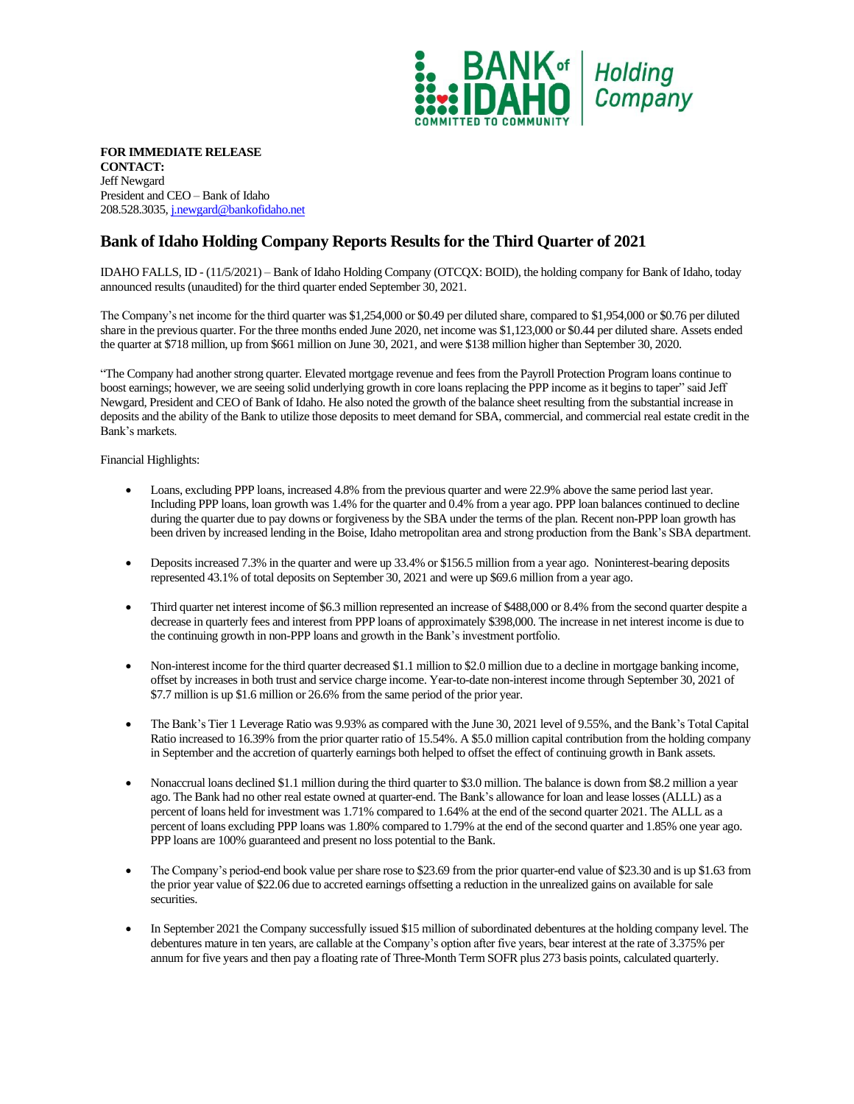

**FOR IMMEDIATE RELEASE CONTACT:**  Jeff Newgard President and CEO – Bank of Idaho 208.528.3035[, j.newgard@bankofidaho.net](mailto:j.newgard@bankofidaho.net)

## **Bank of Idaho Holding Company Reports Results for the Third Quarter of 2021**

IDAHO FALLS, ID - (11/5/2021) – Bank of Idaho Holding Company (OTCQX: BOID), the holding company for Bank of Idaho, today announced results (unaudited) for the third quarter ended September 30, 2021.

The Company's net income for the third quarter was \$1,254,000 or \$0.49 per diluted share, compared to \$1,954,000 or \$0.76 per diluted share in the previous quarter. For the three months ended June 2020, net income was \$1,123,000 or \$0.44 per diluted share. Assets ended the quarter at \$718 million, up from \$661 million on June 30, 2021, and were \$138 million higher than September 30, 2020.

"The Company had another strong quarter. Elevated mortgage revenue and fees from the Payroll Protection Program loans continue to boost earnings; however, we are seeing solid underlying growth in core loans replacing the PPP income as it begins to taper" said Jeff Newgard, President and CEO of Bank of Idaho. He also noted the growth of the balance sheet resulting from the substantial increase in deposits and the ability of the Bank to utilize those deposits to meet demand for SBA, commercial, and commercial real estate credit in the Bank's markets.

Financial Highlights:

- Loans, excluding PPP loans, increased 4.8% from the previous quarter and were 22.9% above the same period last year. Including PPP loans, loan growth was 1.4% for the quarter and 0.4% from a year ago. PPP loan balances continued to decline during the quarter due to pay downs or forgiveness by the SBA under the terms of the plan. Recent non-PPP loan growth has been driven by increased lending in the Boise, Idaho metropolitan area and strong production from the Bank's SBA department.
- Deposits increased 7.3% in the quarter and were up 33.4% or \$156.5 million from a year ago. Noninterest-bearing deposits represented 43.1% of total deposits on September 30, 2021 and were up \$69.6 million from a year ago.
- Third quarter net interest income of \$6.3 million represented an increase of \$488,000 or 8.4% from the second quarter despite a decrease in quarterly fees and interest from PPP loans of approximately \$398,000. The increase in net interest income is due to the continuing growth in non-PPP loans and growth in the Bank's investment portfolio.
- Non-interest income for the third quarter decreased \$1.1 million to \$2.0 million due to a decline in mortgage banking income, offset by increases in both trust and service charge income. Year-to-date non-interest income through September 30, 2021 of \$7.7 million is up \$1.6 million or 26.6% from the same period of the prior year.
- The Bank's Tier 1 Leverage Ratio was 9.93% as compared with the June 30, 2021 level of 9.55%, and the Bank's Total Capital Ratio increased to 16.39% from the prior quarter ratio of 15.54%. A \$5.0 million capital contribution from the holding company in September and the accretion of quarterly earnings both helped to offset the effect of continuing growth in Bank assets.
- Nonaccrual loans declined \$1.1 million during the third quarter to \$3.0 million. The balance is down from \$8.2 million a year ago. The Bank had no other real estate owned at quarter-end. The Bank's allowance for loan and lease losses (ALLL) as a percent of loans held for investment was 1.71% compared to 1.64% at the end of the second quarter 2021. The ALLL as a percent of loans excluding PPP loans was 1.80% compared to 1.79% at the end of the second quarter and 1.85% one year ago. PPP loans are 100% guaranteed and present no loss potential to the Bank.
- The Company's period-end book value per share rose to \$23.69 from the prior quarter-end value of \$23.30 and is up \$1.63 from the prior year value of \$22.06 due to accreted earnings offsetting a reduction in the unrealized gains on available for sale securities.
- In September 2021 the Company successfully issued \$15 million of subordinated debentures at the holding company level. The debentures mature in ten years, are callable at the Company's option after five years, bear interest at the rate of 3.375% per annum for five years and then pay a floating rate of Three-Month Term SOFR plus 273 basis points, calculated quarterly.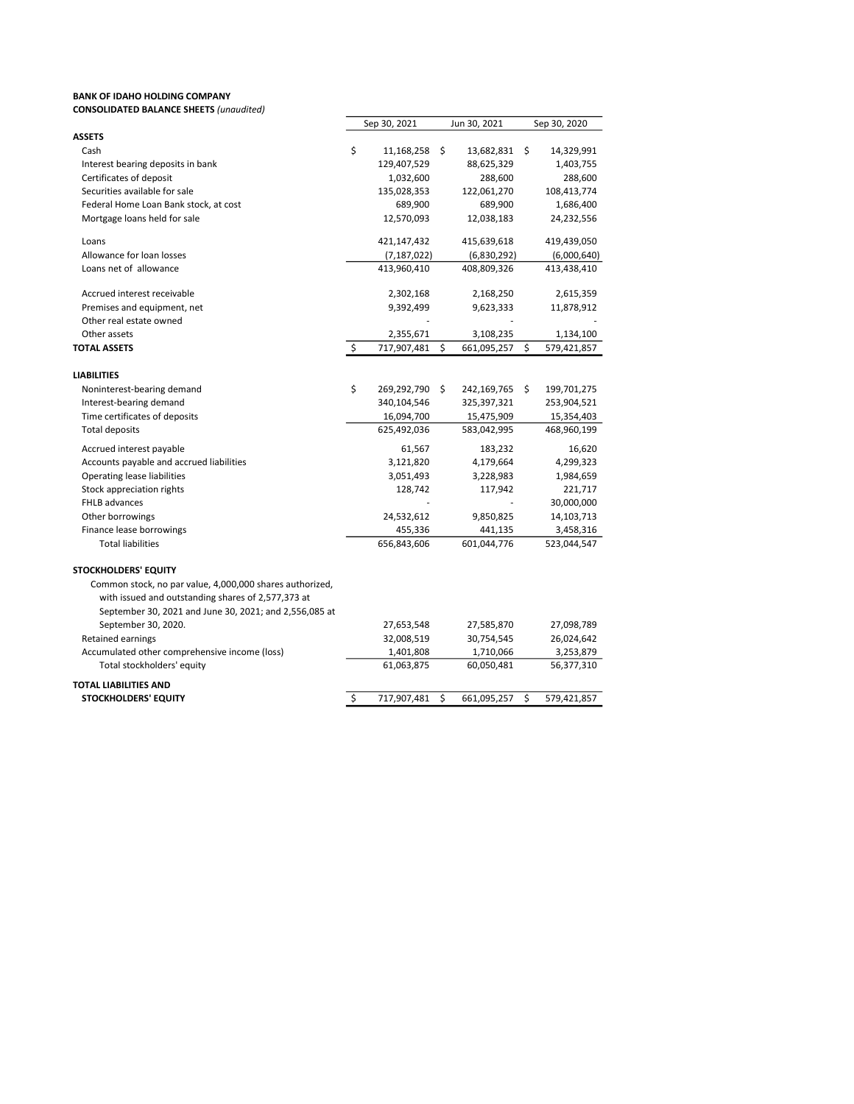## BANK OF IDAHO HOLDING COMPANY CONSOLIDATED BALANCE SHEETS (unaudited)

|                                                                                                                                                                          | Sep 30, 2021             | Jun 30, 2021 |                          |      | Sep 30, 2020 |  |  |  |
|--------------------------------------------------------------------------------------------------------------------------------------------------------------------------|--------------------------|--------------|--------------------------|------|--------------|--|--|--|
| ASSETS                                                                                                                                                                   |                          |              |                          |      |              |  |  |  |
| Cash                                                                                                                                                                     | \$<br>11,168,258 \$      |              | 13,682,831               | - \$ | 14,329,991   |  |  |  |
| Interest bearing deposits in bank                                                                                                                                        | 129,407,529              |              | 88,625,329               |      | 1,403,755    |  |  |  |
| Certificates of deposit                                                                                                                                                  | 1,032,600                |              | 288,600                  |      | 288,600      |  |  |  |
| Securities available for sale                                                                                                                                            | 135,028,353              |              | 122,061,270              |      | 108,413,774  |  |  |  |
| Federal Home Loan Bank stock, at cost                                                                                                                                    | 689,900                  |              | 689,900                  |      | 1,686,400    |  |  |  |
| Mortgage loans held for sale                                                                                                                                             | 12,570,093               |              | 12,038,183               |      | 24,232,556   |  |  |  |
| Loans                                                                                                                                                                    | 421,147,432              |              | 415,639,618              |      | 419,439,050  |  |  |  |
| Allowance for loan losses                                                                                                                                                | (7, 187, 022)            |              | (6,830,292)              |      | (6,000,640)  |  |  |  |
| Loans net of allowance                                                                                                                                                   | 413,960,410              |              | 408,809,326              |      | 413,438,410  |  |  |  |
| Accrued interest receivable                                                                                                                                              | 2,302,168                |              | 2,168,250                |      | 2,615,359    |  |  |  |
| Premises and equipment, net                                                                                                                                              | 9,392,499                |              | 9,623,333                |      | 11,878,912   |  |  |  |
| Other real estate owned                                                                                                                                                  |                          |              |                          |      |              |  |  |  |
| Other assets                                                                                                                                                             | 2,355,671                |              | 3,108,235                |      | 1,134,100    |  |  |  |
| <b>TOTAL ASSETS</b>                                                                                                                                                      | \$<br>717,907,481        | \$           | 661,095,257              | \$   | 579,421,857  |  |  |  |
| <b>LIABILITIES</b>                                                                                                                                                       |                          |              |                          |      |              |  |  |  |
| Noninterest-bearing demand                                                                                                                                               | \$<br>269,292,790        | \$           | 242,169,765              | \$   | 199,701,275  |  |  |  |
| Interest-bearing demand                                                                                                                                                  | 340,104,546              |              | 325,397,321              |      | 253,904,521  |  |  |  |
| Time certificates of deposits                                                                                                                                            | 16,094,700               |              | 15,475,909               |      | 15,354,403   |  |  |  |
| <b>Total deposits</b>                                                                                                                                                    | 625,492,036              |              | 583,042,995              |      | 468,960,199  |  |  |  |
| Accrued interest payable                                                                                                                                                 | 61,567                   |              | 183,232                  |      | 16,620       |  |  |  |
| Accounts payable and accrued liabilities                                                                                                                                 | 3,121,820                |              | 4,179,664                |      | 4,299,323    |  |  |  |
| Operating lease liabilities                                                                                                                                              | 3,051,493                |              | 3,228,983                |      | 1,984,659    |  |  |  |
| Stock appreciation rights                                                                                                                                                | 128,742                  |              | 117,942                  |      | 221,717      |  |  |  |
| <b>FHLB advances</b>                                                                                                                                                     |                          |              |                          |      | 30,000,000   |  |  |  |
| Other borrowings                                                                                                                                                         | 24,532,612               |              | 9,850,825                |      | 14,103,713   |  |  |  |
| Finance lease borrowings                                                                                                                                                 | 455,336                  |              | 441,135                  |      | 3,458,316    |  |  |  |
| <b>Total liabilities</b>                                                                                                                                                 | 656,843,606              |              | 601,044,776              |      | 523,044,547  |  |  |  |
| <b>STOCKHOLDERS' EQUITY</b>                                                                                                                                              |                          |              |                          |      |              |  |  |  |
| Common stock, no par value, 4,000,000 shares authorized,<br>with issued and outstanding shares of 2,577,373 at<br>September 30, 2021 and June 30, 2021; and 2,556,085 at |                          |              |                          |      |              |  |  |  |
| September 30, 2020.                                                                                                                                                      |                          |              |                          |      | 27,098,789   |  |  |  |
| Retained earnings                                                                                                                                                        | 27,653,548<br>32,008,519 |              | 27,585,870<br>30,754,545 |      | 26,024,642   |  |  |  |
| Accumulated other comprehensive income (loss)                                                                                                                            | 1,401,808                |              | 1,710,066                |      | 3,253,879    |  |  |  |
| Total stockholders' equity                                                                                                                                               | 61,063,875               |              | 60,050,481               |      | 56,377,310   |  |  |  |
| <b>TOTAL LIABILITIES AND</b>                                                                                                                                             |                          |              |                          |      |              |  |  |  |
| <b>STOCKHOLDERS' EQUITY</b>                                                                                                                                              | \$<br>717,907,481        | \$           | 661,095,257              | \$   | 579,421,857  |  |  |  |